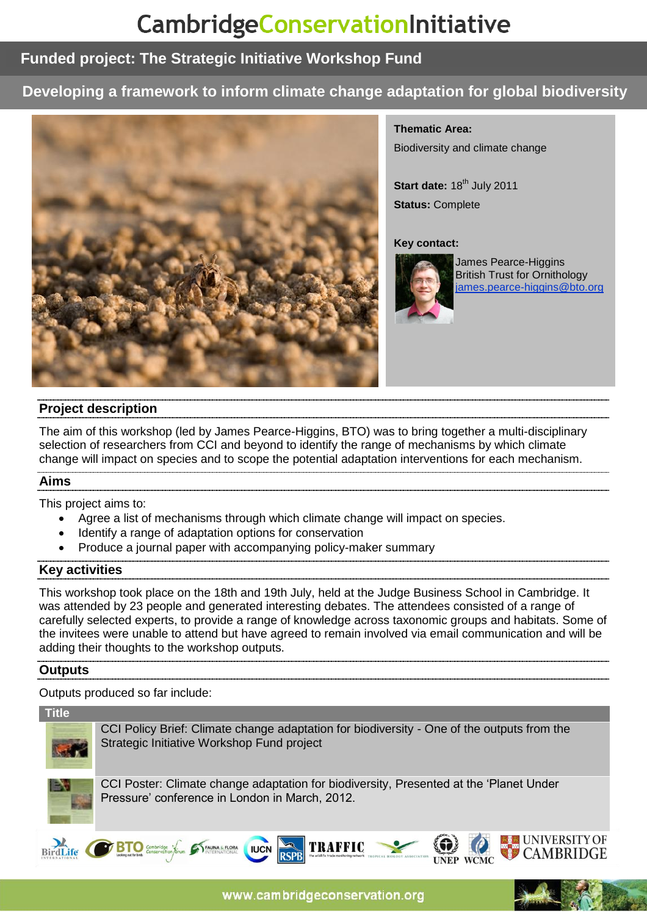# CambridgeConservationInitiative

# **Funded project: The Strategic Initiative Workshop Fund**

# **Developing a framework to inform climate change adaptation for global biodiversity**



**Thematic Area:**  Biodiversity and climate change

Start date: 18<sup>th</sup> July 2011 **Status:** Complete

#### **Key contact:**



James Pearce-Higgins British Trust for Ornithology james.pearce-higgins@bto.org

## **Project description**

The aim of this workshop (led by James Pearce-Higgins, BTO) was to bring together a multi-disciplinary selection of researchers from CCI and beyond to identify the range of mechanisms by which climate change will impact on species and to scope the potential adaptation interventions for each mechanism.

## **Aims**

This project aims to:

- Agree a list of mechanisms through which climate change will impact on species.
- Identify a range of adaptation options for conservation
- Produce a journal paper with accompanying policy-maker summary

## **Key activities**

This workshop took place on the 18th and 19th July, held at the Judge Business School in Cambridge. It was attended by 23 people and generated interesting debates. The attendees consisted of a range of carefully selected experts, to provide a range of knowledge across taxonomic groups and habitats. Some of the invitees were unable to attend but have agreed to remain involved via email communication and will be adding their thoughts to the workshop outputs.

## **Outputs**

Outputs produced so far include:

**Title**



CCI Policy Brief: Climate change adaptation for biodiversity - One of the outputs from the Strategic Initiative Workshop Fund project



CCI Poster: Climate change adaptation for biodiversity, Presented at the 'Planet Under Pressure' conference in London in March, 2012.